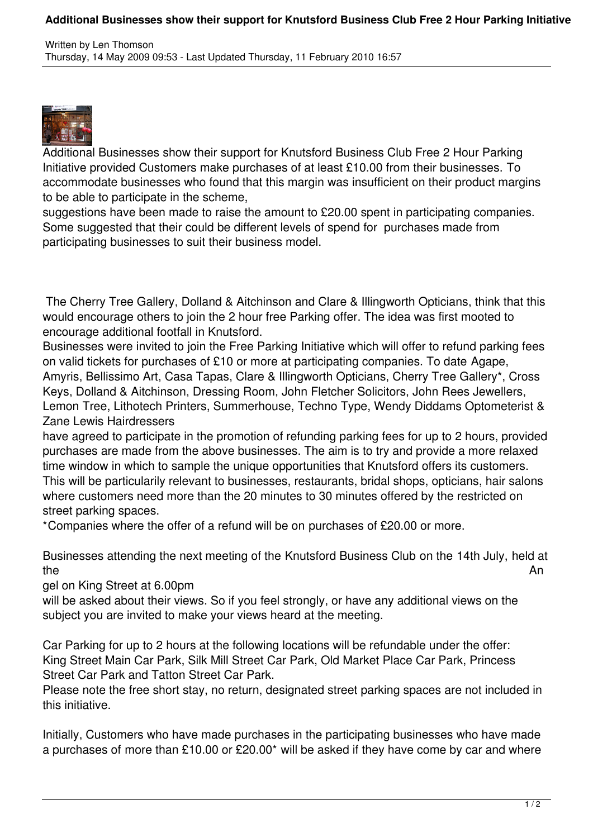## **Additional Businesses show their support for Knutsford Business Club Free 2 Hour Parking Initiative**



Additional Businesses show their support for Knutsford Business Club Free 2 Hour Parking Initiative provided Customers make purchases of at least £10.00 from their businesses. To accommodate businesses who found that this margin was insufficient on their product margins to be able to participate in the scheme,

suggestions have been made to raise the amount to £20.00 spent in participating companies. Some suggested that their could be different levels of spend for purchases made from participating businesses to suit their business model.

 The Cherry Tree Gallery, Dolland & Aitchinson and Clare & Illingworth Opticians, think that this would encourage others to join the 2 hour free Parking offer. The idea was first mooted to encourage additional footfall in Knutsford.

Businesses were invited to join the Free Parking Initiative which will offer to refund parking fees on valid tickets for purchases of £10 or more at participating companies. To date Agape, Amyris, Bellissimo Art, Casa Tapas, Clare & Illingworth Opticians, Cherry Tree Gallery\*, Cross Keys, Dolland & Aitchinson, Dressing Room, John Fletcher Solicitors, John Rees Jewellers, Lemon Tree, Lithotech Printers, Summerhouse, Techno Type, Wendy Diddams Optometerist & Zane Lewis Hairdressers

have agreed to participate in the promotion of refunding parking fees for up to 2 hours, provided purchases are made from the above businesses. The aim is to try and provide a more relaxed time window in which to sample the unique opportunities that Knutsford offers its customers. This will be particularily relevant to businesses, restaurants, bridal shops, opticians, hair salons where customers need more than the 20 minutes to 30 minutes offered by the restricted on street parking spaces.

\*Companies where the offer of a refund will be on purchases of £20.00 or more.

Businesses attending the next meeting of the Knutsford Business Club on the 14th July, held at the and the Annual Secretary of the Annual Secretary of the Annual Secretary of the Annual Secretary of the An

gel on King Street at 6.00pm

will be asked about their views. So if you feel strongly, or have any additional views on the subject you are invited to make your views heard at the meeting.

Car Parking for up to 2 hours at the following locations will be refundable under the offer: King Street Main Car Park, Silk Mill Street Car Park, Old Market Place Car Park, Princess Street Car Park and Tatton Street Car Park.

Please note the free short stay, no return, designated street parking spaces are not included in this initiative.

Initially, Customers who have made purchases in the participating businesses who have made a purchases of more than £10.00 or £20.00\* will be asked if they have come by car and where